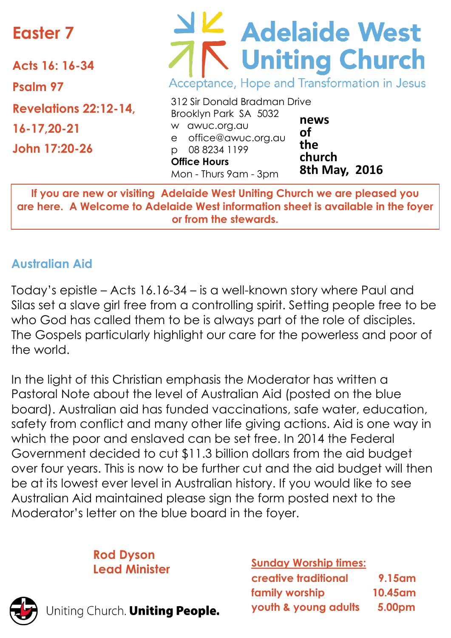# **Easter 7**

**Acts 16: 16-34 Psalm 97 Revelations 22:12-14, 16-17,20-21 John 17:20-26**

# Adelaide West Acceptance, Hope and Transformation in Jesus

|                       | 312 Sir Donald Bradman Drive |               |
|-----------------------|------------------------------|---------------|
|                       | Brooklyn Park SA 5032        | news          |
|                       | w awuc.org.au                | Οf            |
|                       | e office@awuc.org.au         | the           |
|                       | p 08 8234 1199               |               |
|                       | <b>Office Hours</b>          | church        |
| Mon - Thurs 9am - 3pm |                              | 8th May, 2016 |

**If you are new or visiting Adelaide West Uniting Church we are pleased you are here. A Welcome to Adelaide West information sheet is available in the foyer or from the stewards.**

#### **Australian Aid**

Today's epistle – Acts 16.16-34 – is a well-known story where Paul and Silas set a slave girl free from a controlling spirit. Setting people free to be who God has called them to be is always part of the role of disciples. The Gospels particularly highlight our care for the powerless and poor of the world.

In the light of this Christian emphasis the Moderator has written a Pastoral Note about the level of Australian Aid (posted on the blue board). Australian aid has funded vaccinations, safe water, education, safety from conflict and many other life giving actions. Aid is one way in which the poor and enslaved can be set free. In 2014 the Federal Government decided to cut \$11.3 billion dollars from the aid budget over four years. This is now to be further cut and the aid budget will then be at its lowest ever level in Australian history. If you would like to see Australian Aid maintained please sign the form posted next to the Moderator's letter on the blue board in the foyer.

**Rod Dyson**



Jniting Church. Uniting People.

#### **Lead Minister Sunday Worship times:**

| creative traditional | <b>9.15am</b>       |
|----------------------|---------------------|
| family worship       | 10.45 <sub>am</sub> |
| youth & young adults | 5.00pm              |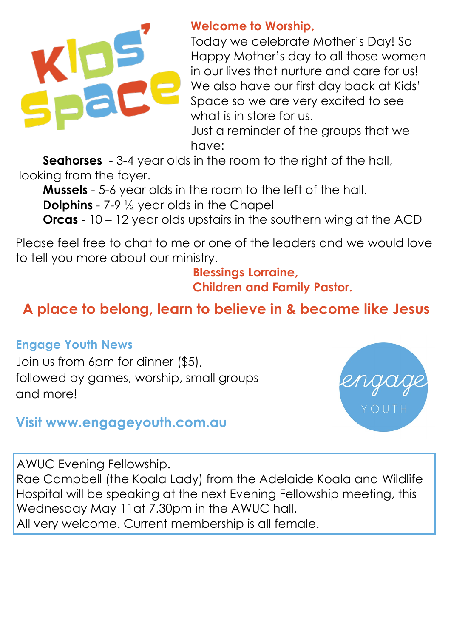

#### **Welcome to Worship,**

Today we celebrate Mother's Day! So Happy Mother's day to all those women in our lives that nurture and care for us! We also have our first day back at Kids' Space so we are very excited to see what is in store for us.

Just a reminder of the groups that we have:

**Seahorses** - 3-4 year olds in the room to the right of the hall, looking from the foyer.

**Mussels** - 5-6 year olds in the room to the left of the hall. **Dolphins** - 7-9  $\frac{1}{2}$  year olds in the Chapel

**Orcas** - 10 – 12 year olds upstairs in the southern wing at the ACD

Please feel free to chat to me or one of the leaders and we would love to tell you more about our ministry.

 **Blessings Lorraine, Children and Family Pastor.**

### **A place to belong, learn to believe in & become like Jesus**

#### **Engage Youth News**

Join us from 6pm for dinner (\$5), followed by games, worship, small groups and more!



#### **Visit www.engageyouth.com.au**

AWUC Evening Fellowship.

Rae Campbell (the Koala Lady) from the Adelaide Koala and Wildlife Hospital will be speaking at the next Evening Fellowship meeting, this Wednesday May 11at 7.30pm in the AWUC hall. All very welcome. Current membership is all female.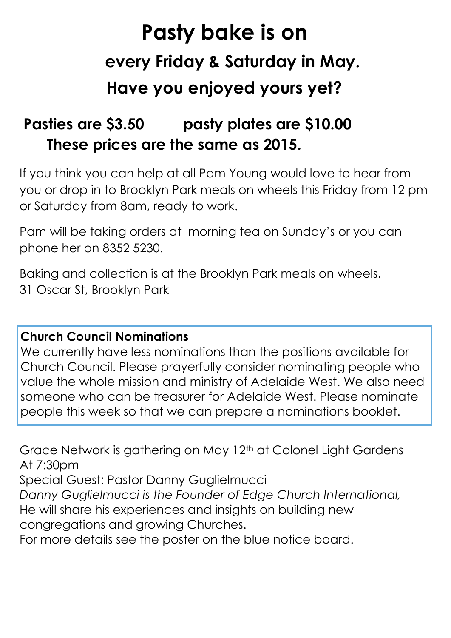# **Pasty bake is on every Friday & Saturday in May. Have you enjoyed yours yet?**

## **Pasties are \$3.50 pasty plates are \$10.00 These prices are the same as 2015.**

If you think you can help at all Pam Young would love to hear from you or drop in to Brooklyn Park meals on wheels this Friday from 12 pm or Saturday from 8am, ready to work.

Pam will be taking orders at morning tea on Sunday's or you can phone her on 8352 5230.

Baking and collection is at the Brooklyn Park meals on wheels. 31 Oscar St, Brooklyn Park

#### **Church Council Nominations**

We currently have less nominations than the positions available for Church Council. Please prayerfully consider nominating people who value the whole mission and ministry of Adelaide West. We also need someone who can be treasurer for Adelaide West. Please nominate people this week so that we can prepare a nominations booklet.

Grace Network is gathering on May 12<sup>th</sup> at Colonel Light Gardens At 7:30pm

Special Guest: Pastor Danny Guglielmucci

*Danny Guglielmucci is the Founder of Edge Church International,* 

He will share his experiences and insights on building new congregations and growing Churches.

For more details see the poster on the blue notice board.